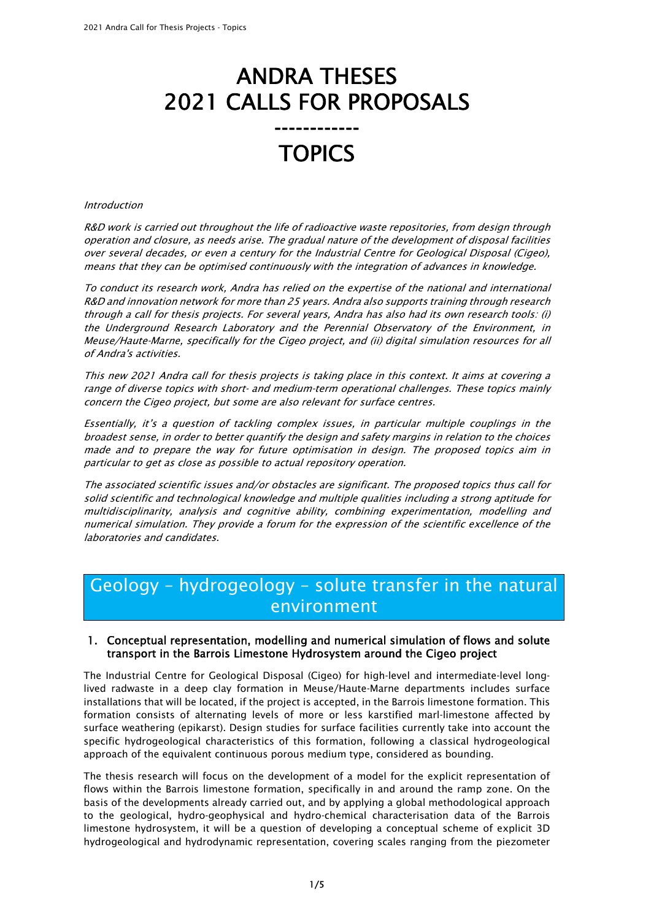# ANDRA THESES 2021 CALLS FOR PROPOSALS

## ------------ **TOPICS**

#### Introduction

R&D work is carried out throughout the life of radioactive waste repositories, from design through operation and closure, as needs arise. The gradual nature of the development of disposal facilities over several decades, or even a century for the Industrial Centre for Geological Disposal (Cigeo), means that they can be optimised continuously with the integration of advances in knowledge.

To conduct its research work, Andra has relied on the expertise of the national and international R&D and innovation network for more than 25 years. Andra also supports training through research through a call for thesis projects. For several years, Andra has also had its own research tools: (i) the Underground Research Laboratory and the Perennial Observatory of the Environment, in Meuse/Haute-Marne, specifically for the Cigeo project, and (ii) digital simulation resources for all of Andra's activities.

This new 2021 Andra call for thesis projects is taking place in this context. It aims at covering a range of diverse topics with short- and medium-term operational challenges. These topics mainly concern the Cigeo project, but some are also relevant for surface centres.

Essentially, it's a question of tackling complex issues, in particular multiple couplings in the broadest sense, in order to better quantify the design and safety margins in relation to the choices made and to prepare the way for future optimisation in design. The proposed topics aim in particular to get as close as possible to actual repository operation.

The associated scientific issues and/or obstacles are significant. The proposed topics thus call for solid scientific and technological knowledge and multiple qualities including a strong aptitude for multidisciplinarity, analysis and cognitive ability, combining experimentation, modelling and numerical simulation. They provide a forum for the expression of the scientific excellence of the laboratories and candidates.

### Geology – hydrogeology – solute transfer in the natural environment

#### 1. Conceptual representation, modelling and numerical simulation of flows and solute transport in the Barrois Limestone Hydrosystem around the Cigeo project

The Industrial Centre for Geological Disposal (Cigeo) for high-level and intermediate-level longlived radwaste in a deep clay formation in Meuse/Haute-Marne departments includes surface installations that will be located, if the project is accepted, in the Barrois limestone formation. This formation consists of alternating levels of more or less karstified marl-limestone affected by surface weathering (epikarst). Design studies for surface facilities currently take into account the specific hydrogeological characteristics of this formation, following a classical hydrogeological approach of the equivalent continuous porous medium type, considered as bounding.

The thesis research will focus on the development of a model for the explicit representation of flows within the Barrois limestone formation, specifically in and around the ramp zone. On the basis of the developments already carried out, and by applying a global methodological approach to the geological, hydro-geophysical and hydro-chemical characterisation data of the Barrois limestone hydrosystem, it will be a question of developing a conceptual scheme of explicit 3D hydrogeological and hydrodynamic representation, covering scales ranging from the piezometer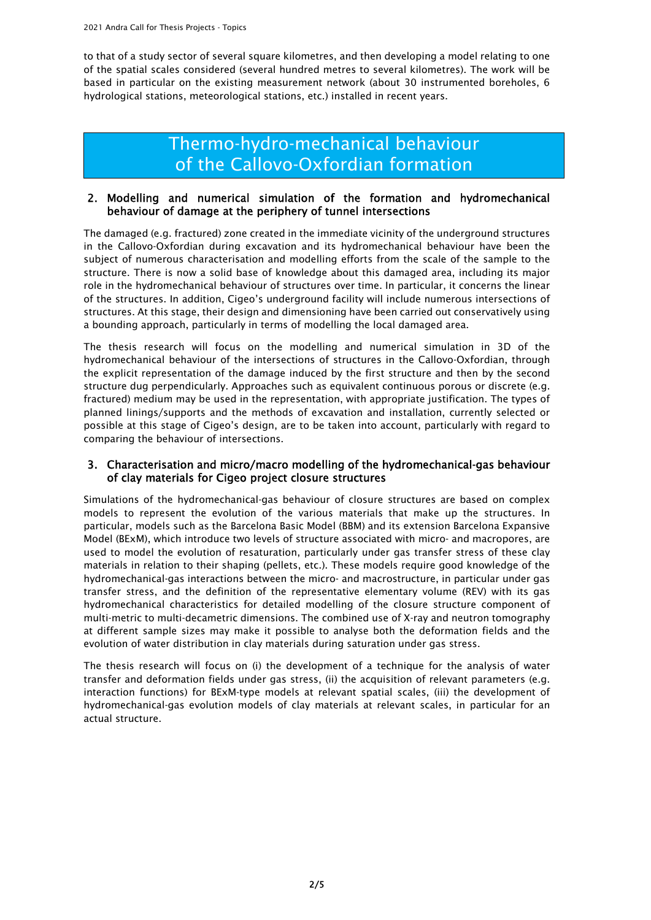to that of a study sector of several square kilometres, and then developing a model relating to one of the spatial scales considered (several hundred metres to several kilometres). The work will be based in particular on the existing measurement network (about 30 instrumented boreholes, 6 hydrological stations, meteorological stations, etc.) installed in recent years.

### Thermo-hydro-mechanical behaviour of the Callovo-Oxfordian formation

#### 2. Modelling and numerical simulation of the formation and hydromechanical behaviour of damage at the periphery of tunnel intersections

The damaged (e.g. fractured) zone created in the immediate vicinity of the underground structures in the Callovo-Oxfordian during excavation and its hydromechanical behaviour have been the subject of numerous characterisation and modelling efforts from the scale of the sample to the structure. There is now a solid base of knowledge about this damaged area, including its major role in the hydromechanical behaviour of structures over time. In particular, it concerns the linear of the structures. In addition, Cigeo's underground facility will include numerous intersections of structures. At this stage, their design and dimensioning have been carried out conservatively using a bounding approach, particularly in terms of modelling the local damaged area.

The thesis research will focus on the modelling and numerical simulation in 3D of the hydromechanical behaviour of the intersections of structures in the Callovo-Oxfordian, through the explicit representation of the damage induced by the first structure and then by the second structure dug perpendicularly. Approaches such as equivalent continuous porous or discrete (e.g. fractured) medium may be used in the representation, with appropriate justification. The types of planned linings/supports and the methods of excavation and installation, currently selected or possible at this stage of Cigeo's design, are to be taken into account, particularly with regard to comparing the behaviour of intersections.

#### 3. Characterisation and micro/macro modelling of the hydromechanical-gas behaviour of clay materials for Cigeo project closure structures

Simulations of the hydromechanical-gas behaviour of closure structures are based on complex models to represent the evolution of the various materials that make up the structures. In particular, models such as the Barcelona Basic Model (BBM) and its extension Barcelona Expansive Model (BExM), which introduce two levels of structure associated with micro- and macropores, are used to model the evolution of resaturation, particularly under gas transfer stress of these clay materials in relation to their shaping (pellets, etc.). These models require good knowledge of the hydromechanical-gas interactions between the micro- and macrostructure, in particular under gas transfer stress, and the definition of the representative elementary volume (REV) with its gas hydromechanical characteristics for detailed modelling of the closure structure component of multi-metric to multi-decametric dimensions. The combined use of X-ray and neutron tomography at different sample sizes may make it possible to analyse both the deformation fields and the evolution of water distribution in clay materials during saturation under gas stress.

The thesis research will focus on (i) the development of a technique for the analysis of water transfer and deformation fields under gas stress, (ii) the acquisition of relevant parameters (e.g. interaction functions) for BExM-type models at relevant spatial scales, (iii) the development of hydromechanical-gas evolution models of clay materials at relevant scales, in particular for an actual structure.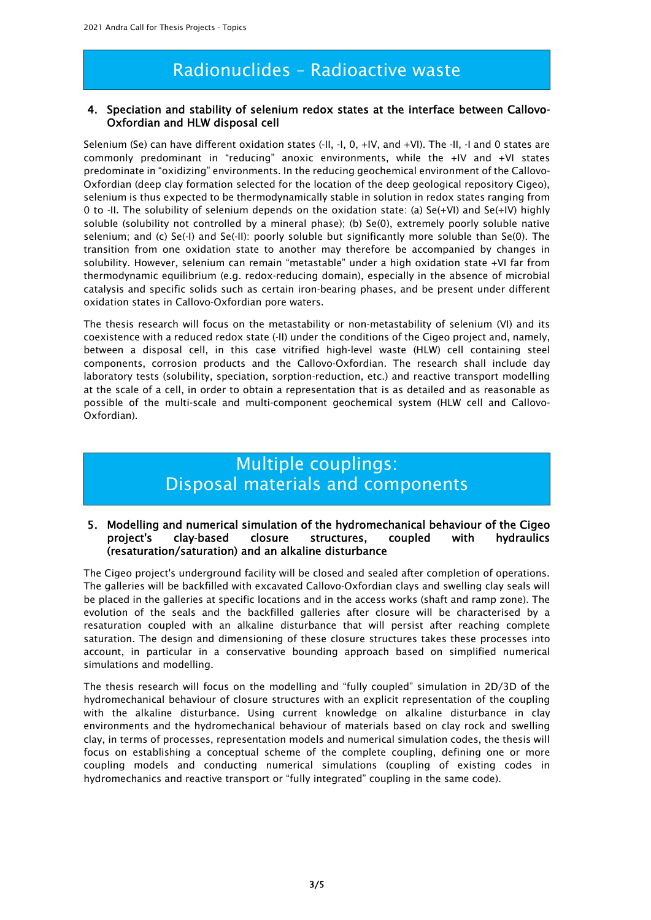### Radionuclides – Radioactive waste

#### 4. Speciation and stability of selenium redox states at the interface between Callovo-Oxfordian and HLW disposal cell

Selenium (Se) can have different oxidation states (-II, -I, 0, +IV, and +VI). The -II, -I and 0 states are commonly predominant in "reducing" anoxic environments, while the +IV and +VI states predominate in "oxidizing" environments. In the reducing geochemical environment of the Callovo-Oxfordian (deep clay formation selected for the location of the deep geological repository Cigeo), selenium is thus expected to be thermodynamically stable in solution in redox states ranging from 0 to -II. The solubility of selenium depends on the oxidation state: (a) Se(+VI) and Se(+IV) highly soluble (solubility not controlled by a mineral phase); (b) Se(0), extremely poorly soluble native selenium; and (c) Se(-I) and Se(-II): poorly soluble but significantly more soluble than Se(0). The transition from one oxidation state to another may therefore be accompanied by changes in solubility. However, selenium can remain "metastable" under a high oxidation state +VI far from thermodynamic equilibrium (e.g. redox-reducing domain), especially in the absence of microbial catalysis and specific solids such as certain iron-bearing phases, and be present under different oxidation states in Callovo-Oxfordian pore waters.

The thesis research will focus on the metastability or non-metastability of selenium (VI) and its coexistence with a reduced redox state (-II) under the conditions of the Cigeo project and, namely, between a disposal cell, in this case vitrified high-level waste (HLW) cell containing steel components, corrosion products and the Callovo-Oxfordian. The research shall include day laboratory tests (solubility, speciation, sorption-reduction, etc.) and reactive transport modelling at the scale of a cell, in order to obtain a representation that is as detailed and as reasonable as possible of the multi-scale and multi-component geochemical system (HLW cell and Callovo-Oxfordian).

### Multiple couplings: Disposal materials and components

#### 5. Modelling and numerical simulation of the hydromechanical behaviour of the Cigeo project's clay-based closure structures, coupled with hydraulics (resaturation/saturation) and an alkaline disturbance

The Cigeo project's underground facility will be closed and sealed after completion of operations. The galleries will be backfilled with excavated Callovo-Oxfordian clays and swelling clay seals will be placed in the galleries at specific locations and in the access works (shaft and ramp zone). The evolution of the seals and the backfilled galleries after closure will be characterised by a resaturation coupled with an alkaline disturbance that will persist after reaching complete saturation. The design and dimensioning of these closure structures takes these processes into account, in particular in a conservative bounding approach based on simplified numerical simulations and modelling.

The thesis research will focus on the modelling and "fully coupled" simulation in 2D/3D of the hydromechanical behaviour of closure structures with an explicit representation of the coupling with the alkaline disturbance. Using current knowledge on alkaline disturbance in clay environments and the hydromechanical behaviour of materials based on clay rock and swelling clay, in terms of processes, representation models and numerical simulation codes, the thesis will focus on establishing a conceptual scheme of the complete coupling, defining one or more coupling models and conducting numerical simulations (coupling of existing codes in hydromechanics and reactive transport or "fully integrated" coupling in the same code).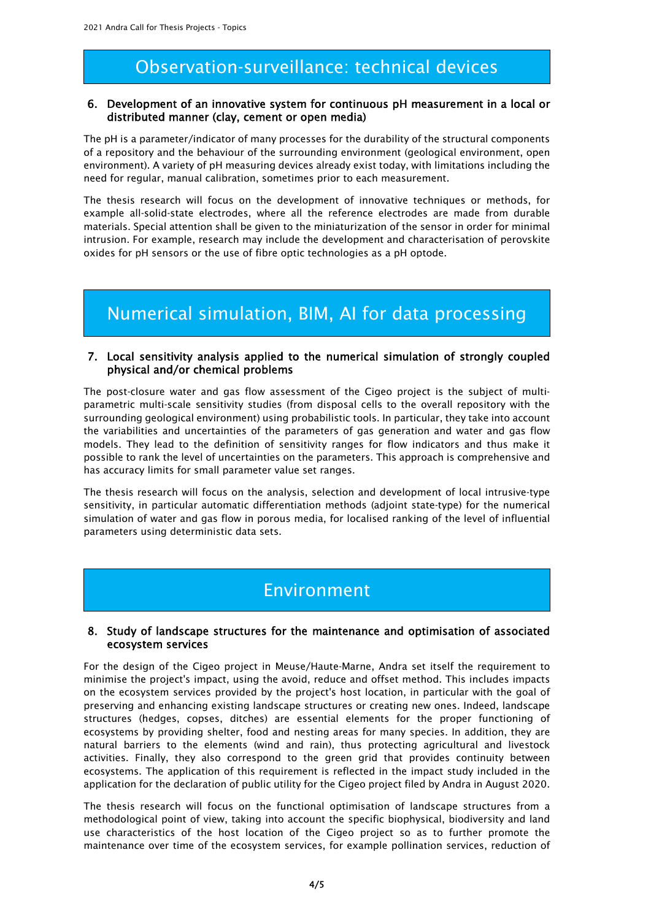### Observation-surveillance: technical devices

#### 6. Development of an innovative system for continuous pH measurement in a local or distributed manner (clay, cement or open media)

The pH is a parameter/indicator of many processes for the durability of the structural components of a repository and the behaviour of the surrounding environment (geological environment, open environment). A variety of pH measuring devices already exist today, with limitations including the need for regular, manual calibration, sometimes prior to each measurement.

The thesis research will focus on the development of innovative techniques or methods, for example all-solid-state electrodes, where all the reference electrodes are made from durable materials. Special attention shall be given to the miniaturization of the sensor in order for minimal intrusion. For example, research may include the development and characterisation of perovskite oxides for pH sensors or the use of fibre optic technologies as a pH optode.

### Numerical simulation, BIM, AI for data processing

#### 7. Local sensitivity analysis applied to the numerical simulation of strongly coupled physical and/or chemical problems

The post-closure water and gas flow assessment of the Cigeo project is the subject of multiparametric multi-scale sensitivity studies (from disposal cells to the overall repository with the surrounding geological environment) using probabilistic tools. In particular, they take into account the variabilities and uncertainties of the parameters of gas generation and water and gas flow models. They lead to the definition of sensitivity ranges for flow indicators and thus make it possible to rank the level of uncertainties on the parameters. This approach is comprehensive and has accuracy limits for small parameter value set ranges.

The thesis research will focus on the analysis, selection and development of local intrusive-type sensitivity, in particular automatic differentiation methods (adjoint state-type) for the numerical simulation of water and gas flow in porous media, for localised ranking of the level of influential parameters using deterministic data sets.

### Environment

#### 8. Study of landscape structures for the maintenance and optimisation of associated ecosystem services

For the design of the Cigeo project in Meuse/Haute-Marne, Andra set itself the requirement to minimise the project's impact, using the avoid, reduce and offset method. This includes impacts on the ecosystem services provided by the project's host location, in particular with the goal of preserving and enhancing existing landscape structures or creating new ones. Indeed, landscape structures (hedges, copses, ditches) are essential elements for the proper functioning of ecosystems by providing shelter, food and nesting areas for many species. In addition, they are natural barriers to the elements (wind and rain), thus protecting agricultural and livestock activities. Finally, they also correspond to the green grid that provides continuity between ecosystems. The application of this requirement is reflected in the impact study included in the application for the declaration of public utility for the Cigeo project filed by Andra in August 2020.

The thesis research will focus on the functional optimisation of landscape structures from a methodological point of view, taking into account the specific biophysical, biodiversity and land use characteristics of the host location of the Cigeo project so as to further promote the maintenance over time of the ecosystem services, for example pollination services, reduction of